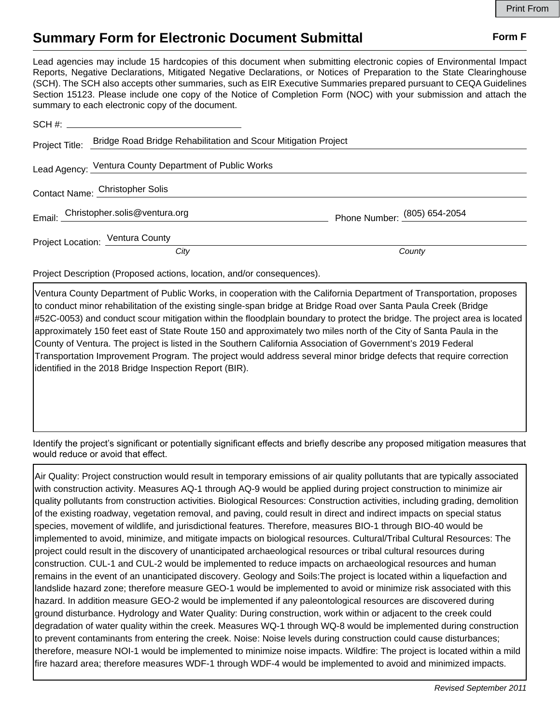## **Summary Form for Electronic Document Submittal Form F Form F**

Lead agencies may include 15 hardcopies of this document when submitting electronic copies of Environmental Impact Reports, Negative Declarations, Mitigated Negative Declarations, or Notices of Preparation to the State Clearinghouse (SCH). The SCH also accepts other summaries, such as EIR Executive Summaries prepared pursuant to CEQA Guidelines Section 15123. Please include one copy of the Notice of Completion Form (NOC) with your submission and attach the summary to each electronic copy of the document.

| Project Title: Bridge Road Bridge Rehabilitation and Scour Mitigation Project |                              |
|-------------------------------------------------------------------------------|------------------------------|
| Lead Agency: Ventura County Department of Public Works                        |                              |
| Contact Name: Christopher Solis                                               |                              |
| Email: Christopher.solis@ventura.org                                          | Phone Number: (805) 654-2054 |
| Project Location: Ventura County                                              |                              |
| City                                                                          | County                       |

Project Description (Proposed actions, location, and/or consequences).

Ventura County Department of Public Works, in cooperation with the California Department of Transportation, proposes to conduct minor rehabilitation of the existing single-span bridge at Bridge Road over Santa Paula Creek (Bridge #52C-0053) and conduct scour mitigation within the floodplain boundary to protect the bridge. The project area is located approximately 150 feet east of State Route 150 and approximately two miles north of the City of Santa Paula in the County of Ventura. The project is listed in the Southern California Association of Government's 2019 Federal Transportation Improvement Program. The project would address several minor bridge defects that require correction identified in the 2018 Bridge Inspection Report (BIR).

Identify the project's significant or potentially significant effects and briefly describe any proposed mitigation measures that would reduce or avoid that effect.

Air Quality: Project construction would result in temporary emissions of air quality pollutants that are typically associated with construction activity. Measures AQ-1 through AQ-9 would be applied during project construction to minimize air quality pollutants from construction activities. Biological Resources: Construction activities, including grading, demolition of the existing roadway, vegetation removal, and paving, could result in direct and indirect impacts on special status species, movement of wildlife, and jurisdictional features. Therefore, measures BIO-1 through BIO-40 would be implemented to avoid, minimize, and mitigate impacts on biological resources. Cultural/Tribal Cultural Resources: The project could result in the discovery of unanticipated archaeological resources or tribal cultural resources during construction. CUL-1 and CUL-2 would be implemented to reduce impacts on archaeological resources and human remains in the event of an unanticipated discovery. Geology and Soils:The project is located within a liquefaction and landslide hazard zone; therefore measure GEO-1 would be implemented to avoid or minimize risk associated with this hazard. In addition measure GEO-2 would be implemented if any paleontological resources are discovered during ground disturbance. Hydrology and Water Quality: During construction, work within or adjacent to the creek could degradation of water quality within the creek. Measures WQ-1 through WQ-8 would be implemented during construction to prevent contaminants from entering the creek. Noise: Noise levels during construction could cause disturbances; therefore, measure NOI-1 would be implemented to minimize noise impacts. Wildfire: The project is located within a mild fire hazard area; therefore measures WDF-1 through WDF-4 would be implemented to avoid and minimized impacts.